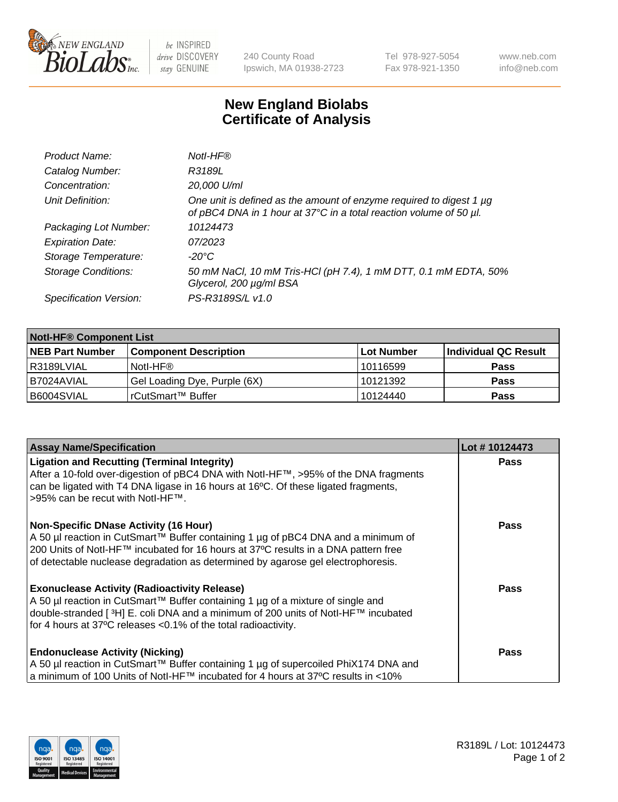

 $be$  INSPIRED drive DISCOVERY stay GENUINE

240 County Road Ipswich, MA 01938-2723 Tel 978-927-5054 Fax 978-921-1350 www.neb.com info@neb.com

## **New England Biolabs Certificate of Analysis**

| Product Name:              | Notl-HF®                                                                                                                                  |
|----------------------------|-------------------------------------------------------------------------------------------------------------------------------------------|
| Catalog Number:            | R3189L                                                                                                                                    |
| Concentration:             | 20,000 U/ml                                                                                                                               |
| Unit Definition:           | One unit is defined as the amount of enzyme required to digest 1 µg<br>of pBC4 DNA in 1 hour at 37°C in a total reaction volume of 50 µl. |
| Packaging Lot Number:      | 10124473                                                                                                                                  |
| <b>Expiration Date:</b>    | 07/2023                                                                                                                                   |
| Storage Temperature:       | $-20^{\circ}$ C                                                                                                                           |
| <b>Storage Conditions:</b> | 50 mM NaCl, 10 mM Tris-HCl (pH 7.4), 1 mM DTT, 0.1 mM EDTA, 50%<br>Glycerol, 200 µg/ml BSA                                                |
| Specification Version:     | PS-R3189S/L v1.0                                                                                                                          |

| <b>Notl-HF® Component List</b> |                              |            |                      |  |  |
|--------------------------------|------------------------------|------------|----------------------|--|--|
| <b>NEB Part Number</b>         | <b>Component Description</b> | Lot Number | Individual QC Result |  |  |
| R3189LVIAL                     | Notl-HF®                     | 10116599   | <b>Pass</b>          |  |  |
| I B7024AVIAL                   | Gel Loading Dye, Purple (6X) | 10121392   | <b>Pass</b>          |  |  |
| B6004SVIAL                     | rCutSmart™ Buffer            | 10124440   | <b>Pass</b>          |  |  |

| <b>Assay Name/Specification</b>                                                                                                                                        | Lot #10124473 |
|------------------------------------------------------------------------------------------------------------------------------------------------------------------------|---------------|
| <b>Ligation and Recutting (Terminal Integrity)</b><br>After a 10-fold over-digestion of pBC4 DNA with NotI-HF™, >95% of the DNA fragments                              | <b>Pass</b>   |
| can be ligated with T4 DNA ligase in 16 hours at 16°C. Of these ligated fragments,<br>>95% can be recut with Notl-HF™.                                                 |               |
| <b>Non-Specific DNase Activity (16 Hour)</b>                                                                                                                           | Pass          |
| A 50 µl reaction in CutSmart™ Buffer containing 1 µg of pBC4 DNA and a minimum of                                                                                      |               |
| 200 Units of Notl-HF™ incubated for 16 hours at 37°C results in a DNA pattern free<br>of detectable nuclease degradation as determined by agarose gel electrophoresis. |               |
| <b>Exonuclease Activity (Radioactivity Release)</b>                                                                                                                    | Pass          |
| A 50 µl reaction in CutSmart™ Buffer containing 1 µg of a mixture of single and                                                                                        |               |
| double-stranded [3H] E. coli DNA and a minimum of 200 units of Notl-HF™ incubated<br>for 4 hours at 37°C releases < 0.1% of the total radioactivity.                   |               |
|                                                                                                                                                                        |               |
| <b>Endonuclease Activity (Nicking)</b>                                                                                                                                 | <b>Pass</b>   |
| A 50 µl reaction in CutSmart™ Buffer containing 1 µg of supercoiled PhiX174 DNA and                                                                                    |               |
| a minimum of 100 Units of Notl-HF™ incubated for 4 hours at 37°C results in <10%                                                                                       |               |